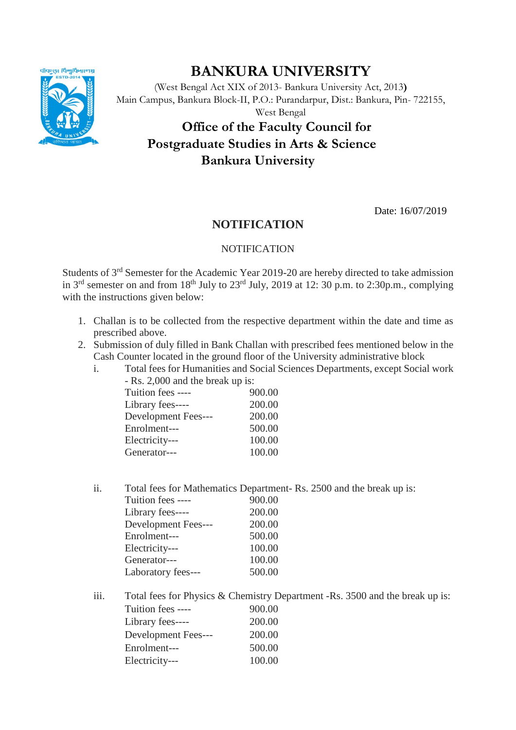

## **BANKURA UNIVERSITY**

(West Bengal Act XIX of 2013- Bankura University Act, 2013**)** Main Campus, Bankura Block-II, P.O.: Purandarpur, Dist.: Bankura, Pin- 722155,

West Bengal

## **Office of the Faculty Council for Postgraduate Studies in Arts & Science Bankura University**

Date: 16/07/2019

## **NOTIFICATION**

## **NOTIFICATION**

Students of 3rd Semester for the Academic Year 2019-20 are hereby directed to take admission in  $3<sup>rd</sup>$  semester on and from  $18<sup>th</sup>$  July to  $23<sup>rd</sup>$  July, 2019 at 12: 30 p.m. to 2:30p.m., complying with the instructions given below:

- 1. Challan is to be collected from the respective department within the date and time as prescribed above.
- 2. Submission of duly filled in Bank Challan with prescribed fees mentioned below in the Cash Counter located in the ground floor of the University administrative block
	- i. Total fees for Humanities and Social Sciences Departments, except Social work - Rs. 2,000 and the break up is:

| Tuition fees ----   | 900.00 |
|---------------------|--------|
| Library fees----    | 200.00 |
| Development Fees--- | 200.00 |
| Enrolment---        | 500.00 |
| Electricity---      | 100.00 |
| Generator---        | 100.00 |
|                     |        |

ii. Total fees for Mathematics Department- Rs. 2500 and the break up is:

| Tuition fees ----   | 900.00 |
|---------------------|--------|
| Library fees----    | 200.00 |
| Development Fees--- | 200.00 |
| Enrolment---        | 500.00 |
| Electricity---      | 100.00 |
| Generator---        | 100.00 |
| Laboratory fees---  | 500.00 |
|                     |        |

iii. Total fees for Physics & Chemistry Department -Rs. 3500 and the break up is: Tuition fees ---- 900.00 Library fees---- 200.00 Development Fees--- 200.00 Enrolment--- 500.00 Electricity--- 100.00